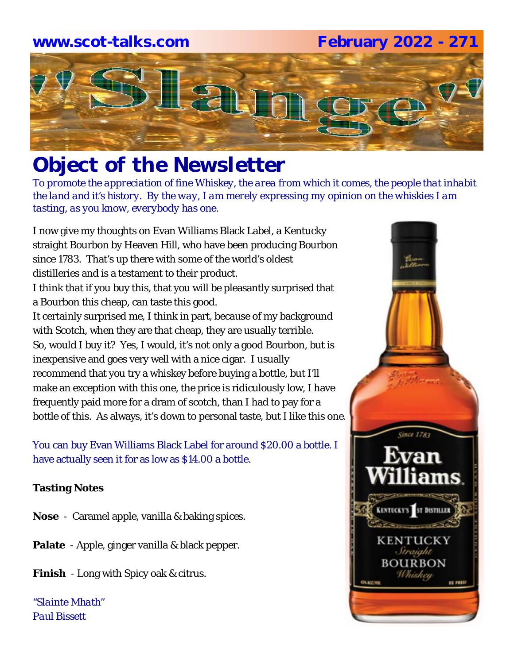### **www.scot-talks.com February 2022 - 271**



### *Object of the Newsletter*

*To promote the appreciation of fine Whiskey, the area from which it comes, the people that inhabit the land and it's history. By the way, I am merely expressing my opinion on the whiskies I am tasting, as you know, everybody has one.* 

I now give my thoughts on Evan Williams Black Label, a Kentucky straight Bourbon by Heaven Hill, who have been producing Bourbon since 1783. That's up there with some of the world's oldest distilleries and is a testament to their product.

I think that if you buy this, that you will be pleasantly surprised that a Bourbon this cheap, can taste this good.

It certainly surprised me, I think in part, because of my background with Scotch, when they are that cheap, they are usually terrible. So, would I buy it? Yes, I would, it's not only a good Bourbon, but is inexpensive and goes very well with a nice cigar. I usually recommend that you try a whiskey before buying a bottle, but I'll make an exception with this one, the price is ridiculously low, I have frequently paid more for a dram of scotch, than I had to pay for a bottle of this. As always, it's down to personal taste, but I like this one.

You can buy Evan Williams Black Label for around \$20.00 a bottle. I have actually seen it for as low as \$14.00 a bottle.

### **Tasting Notes**

- **Nose**  Caramel apple, vanilla & baking spices.
- **Palate**  Apple, ginger vanilla & black pepper.
- **Finish**  Long with Spicy oak & citrus.

*"Slainte Mhath" Paul Bissett*

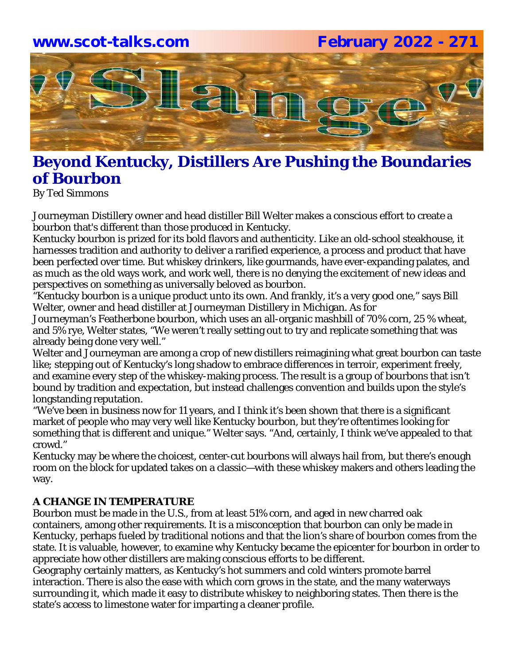## **www.scot-talks.com February 2022 - 271**Lain

### **Beyond Kentucky, Distillers Are Pushing the Boundaries of Bourbon**

By Ted Simmons

Journeyman Distillery owner and head distiller Bill Welter makes a conscious effort to create a bourbon that's different than those produced in Kentucky.

Kentucky bourbon is prized for its bold flavors and authenticity. Like an old-school steakhouse, it harnesses tradition and authority to deliver a rarified experience, a process and product that have been perfected over time. But whiskey drinkers, like gourmands, have ever-expanding palates, and as much as the old ways work, and work well, there is no denying the excitement of new ideas and perspectives on something as universally beloved as bourbon.

"Kentucky bourbon is a unique product unto its own. And frankly, it's a very good one," says Bill Welter, owner and head distiller at Journeyman Distillery in Michigan. As for

Journeyman's Featherbone bourbon, which uses an all-organic mashbill of 70% corn, 25 % wheat, and 5% rye, Welter states, "We weren't really setting out to try and replicate something that was already being done very well."

Welter and Journeyman are among a crop of new distillers reimagining what great bourbon can taste like; stepping out of Kentucky's long shadow to embrace differences in terroir, experiment freely, and examine every step of the whiskey-making process. The result is a group of bourbons that isn't bound by tradition and expectation, but instead challenges convention and builds upon the style's longstanding reputation.

"We've been in business now for 11 years, and I think it's been shown that there is a significant market of people who may very well like Kentucky bourbon, but they're oftentimes looking for something that is different and unique." Welter says. "And, certainly, I think we've appealed to that crowd."

Kentucky may be where the choicest, center-cut bourbons will always hail from, but there's enough room on the block for updated takes on a classic—with these whiskey makers and others leading the way.

### **A CHANGE IN TEMPERATURE**

Bourbon must be made in the U.S., from at least 51% corn, and aged in new charred oak containers, among other requirements. It is a misconception that bourbon can only be made in Kentucky, perhaps fueled by traditional notions and that the lion's share of bourbon comes from the state. It is valuable, however, to examine why Kentucky became the epicenter for bourbon in order to appreciate how other distillers are making conscious efforts to be different.

Geography certainly matters, as Kentucky's hot summers and cold winters promote barrel interaction. There is also the ease with which corn grows in the state, and the many waterways surrounding it, which made it easy to distribute whiskey to neighboring states. Then there is the state's access to limestone water for imparting a cleaner profile.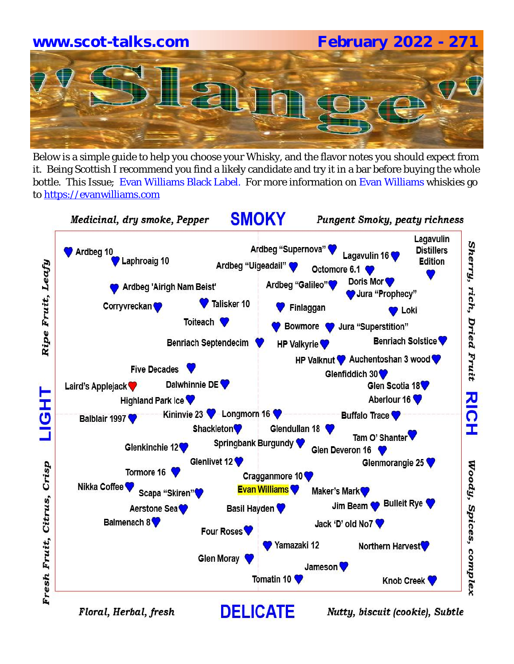# **www.scot-talks.com February 2022 - 271**

Below is a simple guide to help you choose your Whisky, and the flavor notes you should expect from it. Being Scottish I recommend you find a likely candidate and try it in a bar before buying the whole bottle. This Issue; Evan Williams Black Label. For more information on Evan Williams whiskies go to https://evanwilliams.com



Floral, Herbal, fresh

Nutty, biscuit (cookie), Subtle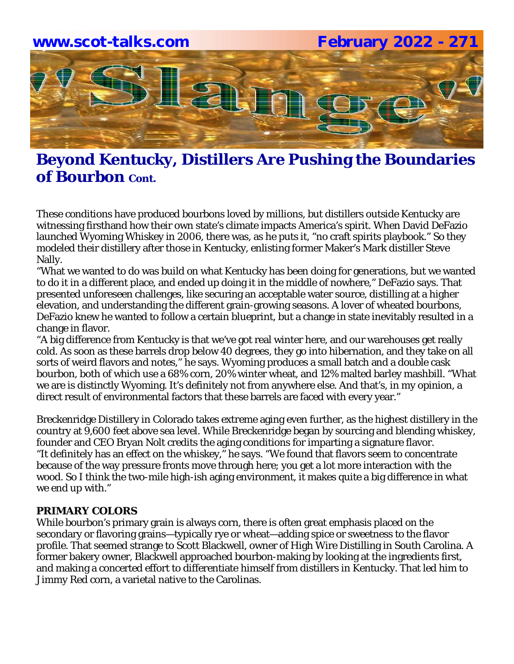

### **Beyond Kentucky, Distillers Are Pushing the Boundaries of Bourbon** *Cont.***</del>**

These conditions have produced bourbons loved by millions, but distillers outside Kentucky are witnessing firsthand how their own state's climate impacts America's spirit. When David DeFazio launched Wyoming Whiskey in 2006, there was, as he puts it, "no craft spirits playbook." So they modeled their distillery after those in Kentucky, enlisting former Maker's Mark distiller Steve Nally.

"What we wanted to do was build on what Kentucky has been doing for generations, but we wanted to do it in a different place, and ended up doing it in the middle of nowhere," DeFazio says. That presented unforeseen challenges, like securing an acceptable water source, distilling at a higher elevation, and understanding the different grain-growing seasons. A lover of wheated bourbons, DeFazio knew he wanted to follow a certain blueprint, but a change in state inevitably resulted in a change in flavor.

"A big difference from Kentucky is that we've got real winter here, and our warehouses get really cold. As soon as these barrels drop below 40 degrees, they go into hibernation, and they take on all sorts of weird flavors and notes," he says. Wyoming produces a small batch and a double cask bourbon, both of which use a 68% corn, 20% winter wheat, and 12% malted barley mashbill. "What we are is distinctly Wyoming. It's definitely not from anywhere else. And that's, in my opinion, a direct result of environmental factors that these barrels are faced with every year."

Breckenridge Distillery in Colorado takes extreme aging even further, as the highest distillery in the country at 9,600 feet above sea level. While Breckenridge began by sourcing and blending whiskey, founder and CEO Bryan Nolt credits the aging conditions for imparting a signature flavor. "It definitely has an effect on the whiskey," he says. "We found that flavors seem to concentrate because of the way pressure fronts move through here; you get a lot more interaction with the wood. So I think the two-mile high-ish aging environment, it makes quite a big difference in what we end up with."

### **PRIMARY COLORS**

While bourbon's primary grain is always corn, there is often great emphasis placed on the secondary or flavoring grains—typically rye or wheat—adding spice or sweetness to the flavor profile. That seemed strange to Scott Blackwell, owner of High Wire Distilling in South Carolina. A former bakery owner, Blackwell approached bourbon-making by looking at the ingredients first, and making a concerted effort to differentiate himself from distillers in Kentucky. That led him to Jimmy Red corn, a varietal native to the Carolinas.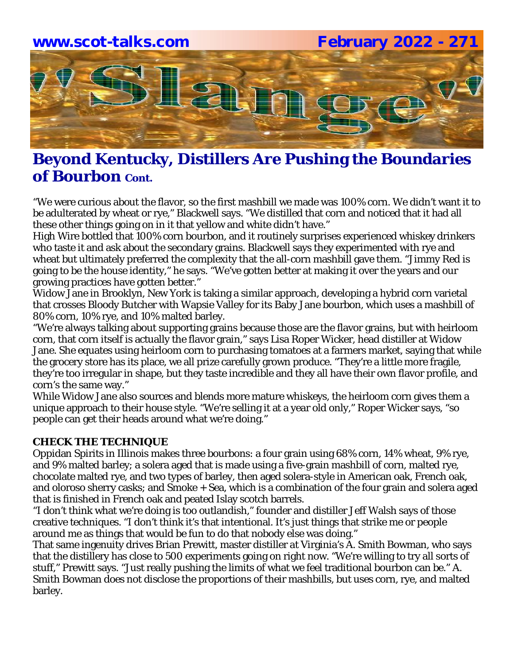

### **Beyond Kentucky, Distillers Are Pushing the Boundaries of Bourbon** Cont.

"We were curious about the flavor, so the first mashbill we made was 100% corn. We didn't want it to be adulterated by wheat or rye," Blackwell says. "We distilled that corn and noticed that it had all these other things going on in it that yellow and white didn't have."

High Wire bottled that 100% corn bourbon, and it routinely surprises experienced whiskey drinkers who taste it and ask about the secondary grains. Blackwell says they experimented with rye and wheat but ultimately preferred the complexity that the all-corn mashbill gave them. "Jimmy Red is going to be the house identity," he says. "We've gotten better at making it over the years and our growing practices have gotten better."

Widow Jane in Brooklyn, New York is taking a similar approach, developing a hybrid corn varietal that crosses Bloody Butcher with Wapsie Valley for its Baby Jane bourbon, which uses a mashbill of 80% corn, 10% rye, and 10% malted barley.

"We're always talking about supporting grains because those are the flavor grains, but with heirloom corn, that corn itself is actually the flavor grain," says Lisa Roper Wicker, head distiller at Widow Jane. She equates using heirloom corn to purchasing tomatoes at a farmers market, saying that while the grocery store has its place, we all prize carefully grown produce. "They're a little more fragile, they're too irregular in shape, but they taste incredible and they all have their own flavor profile, and corn's the same way."

While Widow Jane also sources and blends more mature whiskeys, the heirloom corn gives them a unique approach to their house style. "We're selling it at a year old only," Roper Wicker says, "so people can get their heads around what we're doing."

### **CHECK THE TECHNIQUE**

Oppidan Spirits in Illinois makes three bourbons: a four grain using 68% corn, 14% wheat, 9% rye, and 9% malted barley; a solera aged that is made using a five-grain mashbill of corn, malted rye, chocolate malted rye, and two types of barley, then aged solera-style in American oak, French oak, and oloroso sherry casks; and Smoke + Sea, which is a combination of the four grain and solera aged that is finished in French oak and peated Islay scotch barrels.

"I don't think what we're doing is too outlandish," founder and distiller Jeff Walsh says of those creative techniques. "I don't think it's that intentional. It's just things that strike me or people around me as things that would be fun to do that nobody else was doing."

That same ingenuity drives Brian Prewitt, master distiller at Virginia's A. Smith Bowman, who says that the distillery has close to 500 experiments going on right now. "We're willing to try all sorts of stuff," Prewitt says. "Just really pushing the limits of what we feel traditional bourbon can be." A. Smith Bowman does not disclose the proportions of their mashbills, but uses corn, rye, and malted barley.